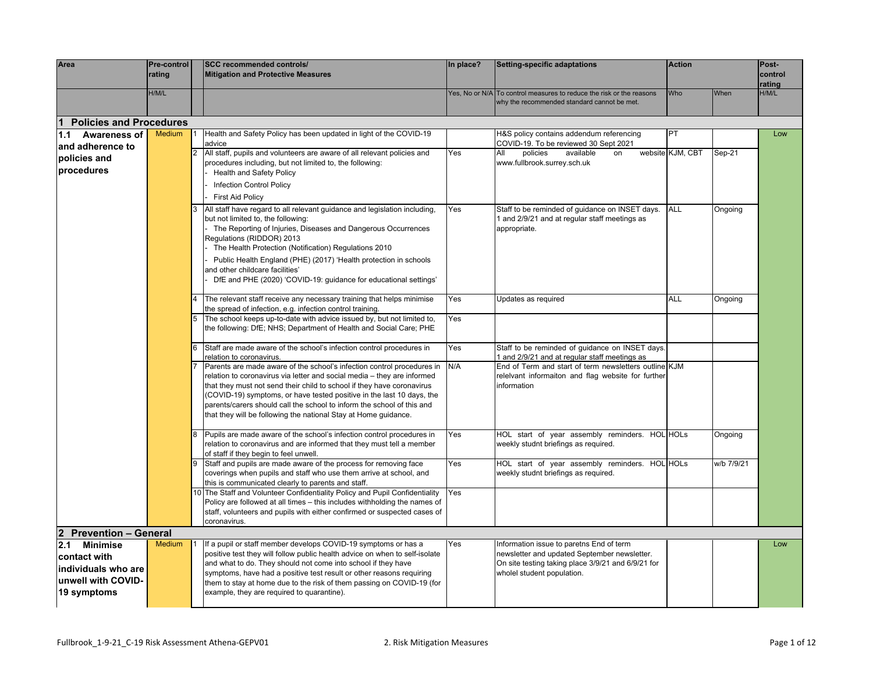| Area                                                                                               | Pre-control<br>rating |             | <b>SCC recommended controls/</b><br><b>Mitigation and Protective Measures</b>                                                                                                                                                                                                                                                                                                                                                                     | In place? | Setting-specific adaptations                                                                                                                                                 | <b>Action</b>    |            | Post-<br>control |
|----------------------------------------------------------------------------------------------------|-----------------------|-------------|---------------------------------------------------------------------------------------------------------------------------------------------------------------------------------------------------------------------------------------------------------------------------------------------------------------------------------------------------------------------------------------------------------------------------------------------------|-----------|------------------------------------------------------------------------------------------------------------------------------------------------------------------------------|------------------|------------|------------------|
|                                                                                                    |                       |             |                                                                                                                                                                                                                                                                                                                                                                                                                                                   |           |                                                                                                                                                                              |                  |            | rating           |
|                                                                                                    | H/M/L                 |             |                                                                                                                                                                                                                                                                                                                                                                                                                                                   |           | Yes, No or N/A To control measures to reduce the risk or the reasons<br>why the recommended standard cannot be met.                                                          | Who              | When       | H/M/L            |
| <b>Policies and Procedures</b>                                                                     |                       |             |                                                                                                                                                                                                                                                                                                                                                                                                                                                   |           |                                                                                                                                                                              |                  |            |                  |
| 1.1 Awareness of                                                                                   | <b>Medium</b>         |             | Health and Safety Policy has been updated in light of the COVID-19<br>advice                                                                                                                                                                                                                                                                                                                                                                      |           | H&S policy contains addendum referencing<br>COVID-19. To be reviewed 30 Sept 2021                                                                                            | PT               |            | Low              |
| and adherence to<br>policies and<br>procedures                                                     |                       | $ 2\rangle$ | All staff, pupils and volunteers are aware of all relevant policies and<br>procedures including, but not limited to, the following:<br><b>Health and Safety Policy</b>                                                                                                                                                                                                                                                                            | Yes       | policies<br>available<br>All<br>on<br>www.fullbrook.surrey.sch.uk                                                                                                            | website KJM, CBT | Sep-21     |                  |
|                                                                                                    |                       |             | <b>Infection Control Policy</b><br><b>First Aid Policy</b>                                                                                                                                                                                                                                                                                                                                                                                        |           |                                                                                                                                                                              |                  |            |                  |
|                                                                                                    |                       | 3           | All staff have regard to all relevant guidance and legislation including,<br>but not limited to, the following:<br>The Reporting of Injuries, Diseases and Dangerous Occurrences<br>Regulations (RIDDOR) 2013<br>The Health Protection (Notification) Regulations 2010<br>Public Health England (PHE) (2017) 'Health protection in schools<br>and other childcare facilities'<br>DfE and PHE (2020) 'COVID-19: guidance for educational settings' | Yes       | Staff to be reminded of guidance on INSET days.<br>1 and 2/9/21 and at regular staff meetings as<br>appropriate.                                                             | ALL              | Ongoing    |                  |
|                                                                                                    |                       |             | The relevant staff receive any necessary training that helps minimise<br>the spread of infection, e.g. infection control training.                                                                                                                                                                                                                                                                                                                | Yes       | Updates as required                                                                                                                                                          | ALL              | Ongoing    |                  |
|                                                                                                    |                       |             | The school keeps up-to-date with advice issued by, but not limited to,<br>the following: DfE; NHS; Department of Health and Social Care; PHE                                                                                                                                                                                                                                                                                                      | Yes       |                                                                                                                                                                              |                  |            |                  |
|                                                                                                    |                       |             | Staff are made aware of the school's infection control procedures in<br>relation to coronavirus.                                                                                                                                                                                                                                                                                                                                                  | Yes       | Staff to be reminded of quidance on INSET days.<br>1 and 2/9/21 and at regular staff meetings as                                                                             |                  |            |                  |
|                                                                                                    |                       |             | Parents are made aware of the school's infection control procedures in<br>relation to coronavirus via letter and social media - they are informed<br>that they must not send their child to school if they have coronavirus<br>(COVID-19) symptoms, or have tested positive in the last 10 days, the<br>parents/carers should call the school to inform the school of this and<br>that they will be following the national Stay at Home guidance. | N/A       | End of Term and start of term newsletters outline KJM<br>releivant informaiton and flag website for further<br>information                                                   |                  |            |                  |
|                                                                                                    |                       | 8           | Pupils are made aware of the school's infection control procedures in<br>relation to coronavirus and are informed that they must tell a member<br>of staff if they begin to feel unwell.                                                                                                                                                                                                                                                          | Yes       | HOL start of year assembly reminders. HOL HOLs<br>weekly studnt briefings as required.                                                                                       |                  | Ongoing    |                  |
|                                                                                                    |                       |             | Staff and pupils are made aware of the process for removing face<br>coverings when pupils and staff who use them arrive at school, and<br>this is communicated clearly to parents and staff.                                                                                                                                                                                                                                                      | Yes       | HOL start of year assembly reminders. HOL HOLs<br>weekly studnt briefings as required.                                                                                       |                  | w/b 7/9/21 |                  |
|                                                                                                    |                       |             | 10 The Staff and Volunteer Confidentiality Policy and Pupil Confidentiality<br>Policy are followed at all times - this includes withholding the names of<br>staff, volunteers and pupils with either confirmed or suspected cases of<br>coronavirus.                                                                                                                                                                                              | Yes       |                                                                                                                                                                              |                  |            |                  |
| 2 Prevention - General                                                                             |                       |             |                                                                                                                                                                                                                                                                                                                                                                                                                                                   |           |                                                                                                                                                                              |                  |            |                  |
| <b>Minimise</b><br>2.1<br>contact with<br>individuals who are<br>unwell with COVID-<br>19 symptoms | <b>Medium</b>         |             | If a pupil or staff member develops COVID-19 symptoms or has a<br>positive test they will follow public health advice on when to self-isolate<br>and what to do. They should not come into school if they have<br>symptoms, have had a positive test result or other reasons requiring<br>them to stay at home due to the risk of them passing on COVID-19 (for<br>example, they are required to quarantine).                                     | Yes       | Information issue to paretns End of term<br>newsletter and updated September newsletter.<br>On site testing taking place 3/9/21 and 6/9/21 for<br>wholel student population. |                  |            | Low              |
|                                                                                                    |                       |             |                                                                                                                                                                                                                                                                                                                                                                                                                                                   |           |                                                                                                                                                                              |                  |            |                  |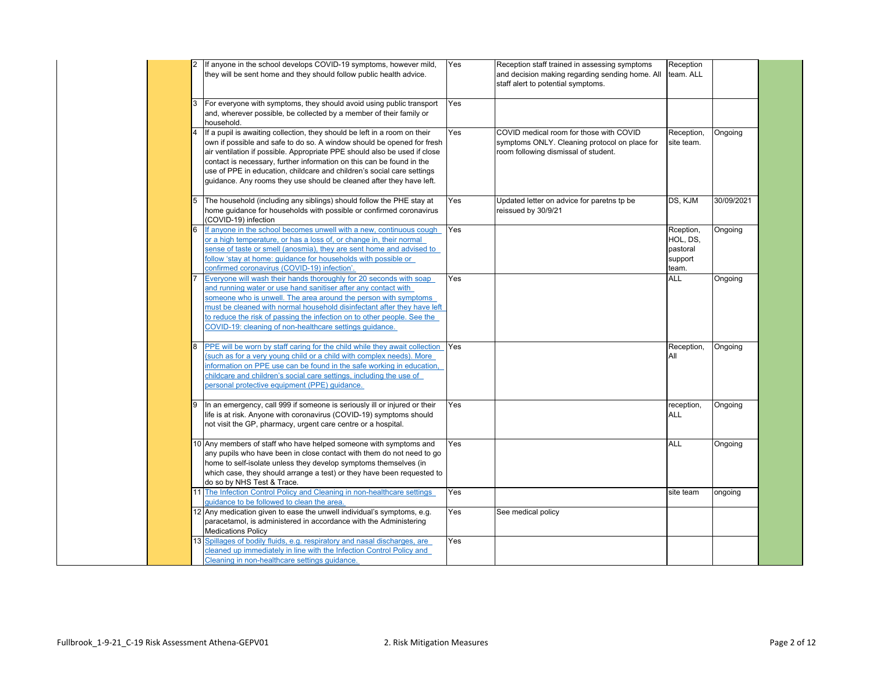|    | If anyone in the school develops COVID-19 symptoms, however mild,<br>they will be sent home and they should follow public health advice.                                                                                                                                                                                                                                                                                                                    | Yes        | Reception staff trained in assessing symptoms<br>and decision making regarding sending home. All<br>staff alert to potential symptoms. | Reception<br>team. ALL                                |            |
|----|-------------------------------------------------------------------------------------------------------------------------------------------------------------------------------------------------------------------------------------------------------------------------------------------------------------------------------------------------------------------------------------------------------------------------------------------------------------|------------|----------------------------------------------------------------------------------------------------------------------------------------|-------------------------------------------------------|------------|
|    | For everyone with symptoms, they should avoid using public transport<br>and, wherever possible, be collected by a member of their family or<br>household.                                                                                                                                                                                                                                                                                                   | Yes        |                                                                                                                                        |                                                       |            |
| 4  | If a pupil is awaiting collection, they should be left in a room on their<br>own if possible and safe to do so. A window should be opened for fresh<br>air ventilation if possible. Appropriate PPE should also be used if close<br>contact is necessary, further information on this can be found in the<br>use of PPE in education, childcare and children's social care settings<br>guidance. Any rooms they use should be cleaned after they have left. | Yes        | COVID medical room for those with COVID<br>symptoms ONLY. Cleaning protocol on place for<br>room following dismissal of student.       | Reception,<br>site team.                              | Ongoing    |
| 5  | The household (including any siblings) should follow the PHE stay at<br>home guidance for households with possible or confirmed coronavirus<br>(COVID-19) infection                                                                                                                                                                                                                                                                                         | Yes        | Updated letter on advice for paretns tp be<br>reissued by 30/9/21                                                                      | DS, KJM                                               | 30/09/2021 |
| 6  | If anyone in the school becomes unwell with a new, continuous cough<br>or a high temperature, or has a loss of, or change in, their normal<br>sense of taste or smell (anosmia), they are sent home and advised to<br>follow 'stay at home: guidance for households with possible or<br>confirmed coronavirus (COVID-19) infection'.                                                                                                                        | Yes        |                                                                                                                                        | Rception,<br>HOL, DS,<br>pastoral<br>support<br>team. | Ongoing    |
|    | Everyone will wash their hands thoroughly for 20 seconds with soap<br>and running water or use hand sanitiser after any contact with<br>someone who is unwell. The area around the person with symptoms<br>must be cleaned with normal household disinfectant after they have left<br>to reduce the risk of passing the infection on to other people. See the<br>COVID-19: cleaning of non-healthcare settings guidance.                                    | Yes        |                                                                                                                                        | <b>ALL</b>                                            | Ongoing    |
| 8  | PPE will be worn by staff caring for the child while they await collection<br>(such as for a very young child or a child with complex needs). More<br>nformation on PPE use can be found in the safe working in education,<br>childcare and children's social care settings, including the use of<br>personal protective equipment (PPE) quidance.                                                                                                          | Yes        |                                                                                                                                        | Reception,<br>All                                     | Ongoing    |
| 9  | In an emergency, call 999 if someone is seriously ill or injured or their<br>life is at risk. Anyone with coronavirus (COVID-19) symptoms should<br>not visit the GP, pharmacy, urgent care centre or a hospital.                                                                                                                                                                                                                                           | Yes        |                                                                                                                                        | reception,<br>ALL                                     | Ongoing    |
|    | 10 Any members of staff who have helped someone with symptoms and<br>any pupils who have been in close contact with them do not need to go<br>home to self-isolate unless they develop symptoms themselves (in<br>which case, they should arrange a test) or they have been requested to<br>do so by NHS Test & Trace.                                                                                                                                      | Yes        |                                                                                                                                        | <b>ALL</b>                                            | Ongoing    |
|    | The Infection Control Policy and Cleaning in non-healthcare settings<br>quidance to be followed to clean the area.                                                                                                                                                                                                                                                                                                                                          | Yes        |                                                                                                                                        | site team                                             | ongoing    |
|    |                                                                                                                                                                                                                                                                                                                                                                                                                                                             |            |                                                                                                                                        |                                                       |            |
| 13 | 12 Any medication given to ease the unwell individual's symptoms, e.g.<br>paracetamol, is administered in accordance with the Administering<br><b>Medications Policy</b><br>Spillages of bodily fluids, e.g. respiratory and nasal discharges, are                                                                                                                                                                                                          | Yes<br>Yes | See medical policy                                                                                                                     |                                                       |            |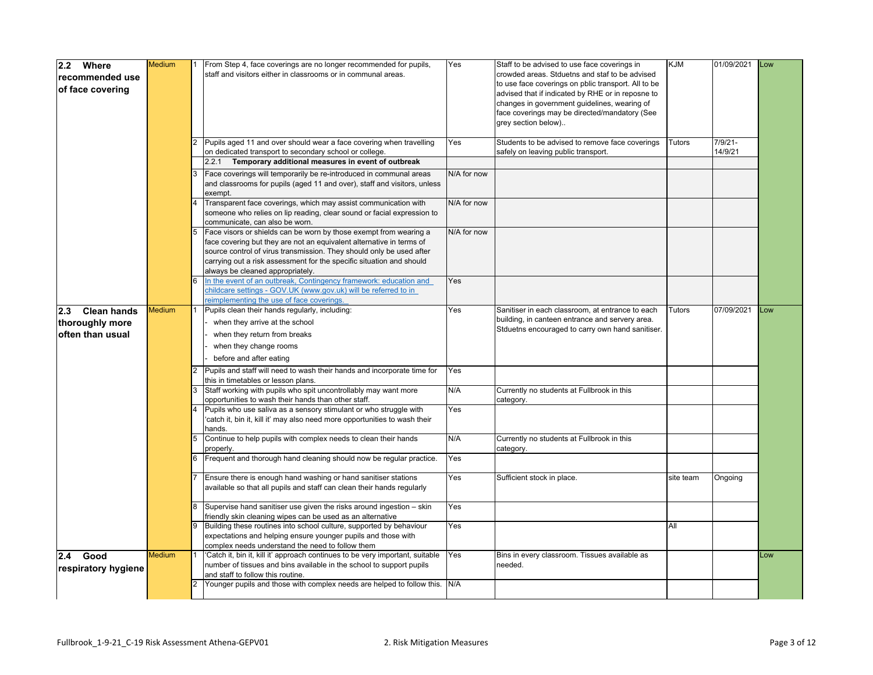| 2.2 Where           | <b>Medium</b> | From Step 4, face coverings are no longer recommended for pupils,             | Yes         | Staff to be advised to use face coverings in        | <b>KJM</b>    | 01/09/2021 | Low |
|---------------------|---------------|-------------------------------------------------------------------------------|-------------|-----------------------------------------------------|---------------|------------|-----|
|                     |               | staff and visitors either in classrooms or in communal areas.                 |             | crowded areas. Stduetns and staf to be advised      |               |            |     |
| recommended use     |               |                                                                               |             | to use face coverings on pblic transport. All to be |               |            |     |
| of face covering    |               |                                                                               |             | advised that if indicated by RHE or in reposne to   |               |            |     |
|                     |               |                                                                               |             | changes in government guidelines, wearing of        |               |            |     |
|                     |               |                                                                               |             |                                                     |               |            |     |
|                     |               |                                                                               |             | face coverings may be directed/mandatory (See       |               |            |     |
|                     |               |                                                                               |             | grey section below)                                 |               |            |     |
|                     |               |                                                                               |             |                                                     |               |            |     |
|                     |               | Pupils aged 11 and over should wear a face covering when travelling           | Yes         | Students to be advised to remove face coverings     | <b>Tutors</b> | $7/9/21 -$ |     |
|                     |               | on dedicated transport to secondary school or college.                        |             | safely on leaving public transport.                 |               | 14/9/21    |     |
|                     |               | 2.2.1 Temporary additional measures in event of outbreak                      |             |                                                     |               |            |     |
|                     |               | Face coverings will temporarily be re-introduced in communal areas            | N/A for now |                                                     |               |            |     |
|                     |               | and classrooms for pupils (aged 11 and over), staff and visitors, unless      |             |                                                     |               |            |     |
|                     |               | exempt.                                                                       |             |                                                     |               |            |     |
|                     |               | Transparent face coverings, which may assist communication with               | N/A for now |                                                     |               |            |     |
|                     |               | someone who relies on lip reading, clear sound or facial expression to        |             |                                                     |               |            |     |
|                     |               | communicate, can also be worn.                                                |             |                                                     |               |            |     |
|                     |               | Face visors or shields can be worn by those exempt from wearing a             | N/A for now |                                                     |               |            |     |
|                     |               |                                                                               |             |                                                     |               |            |     |
|                     |               | face covering but they are not an equivalent alternative in terms of          |             |                                                     |               |            |     |
|                     |               | source control of virus transmission. They should only be used after          |             |                                                     |               |            |     |
|                     |               | carrying out a risk assessment for the specific situation and should          |             |                                                     |               |            |     |
|                     |               | always be cleaned appropriately.                                              |             |                                                     |               |            |     |
|                     |               | In the event of an outbreak, Contingency framework: education and             | Yes         |                                                     |               |            |     |
|                     |               | childcare settings - GOV.UK (www.gov.uk) will be referred to in               |             |                                                     |               |            |     |
|                     |               | reimplementing the use of face coverings.                                     |             |                                                     |               |            |     |
| 2.3 Clean hands     | <b>Medium</b> | Pupils clean their hands regularly, including:                                | Yes         | Sanitiser in each classroom, at entrance to each    | <b>Tutors</b> | 07/09/2021 | Low |
| thoroughly more     |               | when they arrive at the school                                                |             | building, in canteen entrance and servery area.     |               |            |     |
| often than usual    |               | when they return from breaks                                                  |             | Stduetns encouraged to carry own hand sanitiser.    |               |            |     |
|                     |               |                                                                               |             |                                                     |               |            |     |
|                     |               | when they change rooms                                                        |             |                                                     |               |            |     |
|                     |               | before and after eating                                                       |             |                                                     |               |            |     |
|                     |               | Pupils and staff will need to wash their hands and incorporate time for       | Yes         |                                                     |               |            |     |
|                     |               | this in timetables or lesson plans.                                           |             |                                                     |               |            |     |
|                     |               | Staff working with pupils who spit uncontrollably may want more               | N/A         | Currently no students at Fullbrook in this          |               |            |     |
|                     |               | opportunities to wash their hands than other staff.                           |             | category.                                           |               |            |     |
|                     |               | Pupils who use saliva as a sensory stimulant or who struggle with             | Yes         |                                                     |               |            |     |
|                     |               | catch it, bin it, kill it' may also need more opportunities to wash their     |             |                                                     |               |            |     |
|                     |               | hands.                                                                        |             |                                                     |               |            |     |
|                     |               | Continue to help pupils with complex needs to clean their hands               | N/A         | Currently no students at Fullbrook in this          |               |            |     |
|                     |               | properly.                                                                     |             | category.                                           |               |            |     |
|                     |               | Frequent and thorough hand cleaning should now be regular practice.           | Yes         |                                                     |               |            |     |
|                     |               |                                                                               |             |                                                     |               |            |     |
|                     |               | Ensure there is enough hand washing or hand sanitiser stations                | Yes         | Sufficient stock in place.                          | site team     | Ongoing    |     |
|                     |               | available so that all pupils and staff can clean their hands regularly        |             |                                                     |               |            |     |
|                     |               |                                                                               |             |                                                     |               |            |     |
|                     |               | Supervise hand sanitiser use given the risks around ingestion - skin          | Yes         |                                                     |               |            |     |
|                     |               | friendly skin cleaning wipes can be used as an alternative                    |             |                                                     |               |            |     |
|                     |               | Building these routines into school culture, supported by behaviour           | Yes         |                                                     | All           |            |     |
|                     |               |                                                                               |             |                                                     |               |            |     |
|                     |               | expectations and helping ensure younger pupils and those with                 |             |                                                     |               |            |     |
|                     |               | complex needs understand the need to follow them                              |             |                                                     |               |            |     |
| 2.4 Good            | <b>Medium</b> | 'Catch it, bin it, kill it' approach continues to be very important, suitable | Yes         | Bins in every classroom. Tissues available as       |               |            | .ow |
| respiratory hygiene |               | number of tissues and bins available in the school to support pupils          |             | needed.                                             |               |            |     |
|                     |               | and staff to follow this routine.                                             |             |                                                     |               |            |     |
|                     |               | Younger pupils and those with complex needs are helped to follow this.        | N/A         |                                                     |               |            |     |
|                     |               |                                                                               |             |                                                     |               |            |     |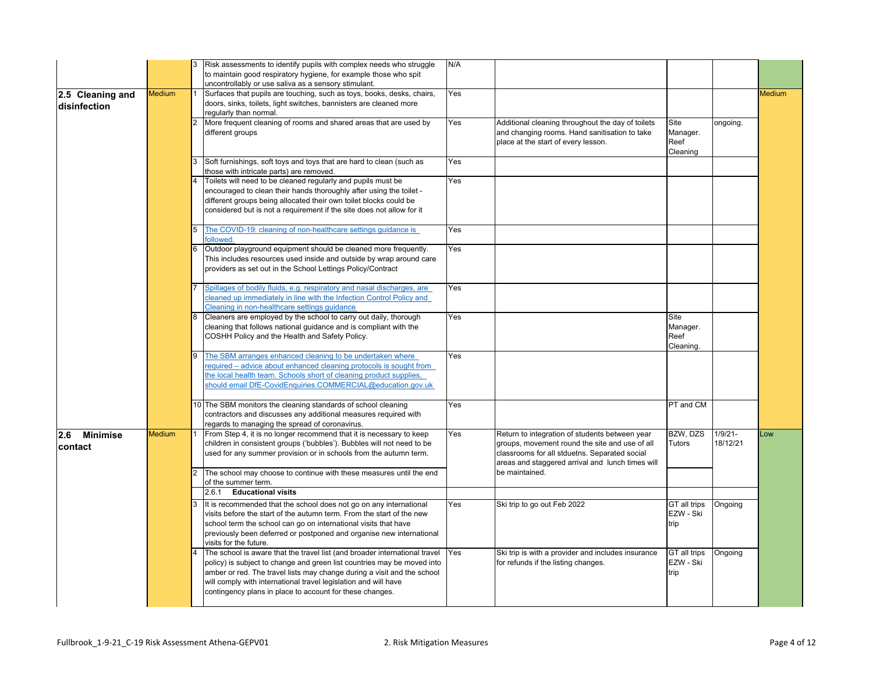|                        |               |                | Risk assessments to identify pupils with complex needs who struggle<br>to maintain good respiratory hygiene, for example those who spit            | N/A |                                                                                                  |                           |                       |               |
|------------------------|---------------|----------------|----------------------------------------------------------------------------------------------------------------------------------------------------|-----|--------------------------------------------------------------------------------------------------|---------------------------|-----------------------|---------------|
|                        |               |                | uncontrollably or use saliva as a sensory stimulant.                                                                                               |     |                                                                                                  |                           |                       |               |
| 2.5 Cleaning and       | <b>Medium</b> |                | Surfaces that pupils are touching, such as toys, books, desks, chairs,                                                                             | Yes |                                                                                                  |                           |                       | <b>Medium</b> |
| disinfection           |               |                | doors, sinks, toilets, light switches, bannisters are cleaned more                                                                                 |     |                                                                                                  |                           |                       |               |
|                        |               | $\overline{2}$ | regularly than normal.<br>More frequent cleaning of rooms and shared areas that are used by                                                        | Yes | Additional cleaning throughout the day of toilets                                                | Site                      | ongoing.              |               |
|                        |               |                | different groups                                                                                                                                   |     | and changing rooms. Hand sanitisation to take                                                    | Manager.                  |                       |               |
|                        |               |                |                                                                                                                                                    |     | place at the start of every lesson.                                                              | Reef                      |                       |               |
|                        |               |                |                                                                                                                                                    |     |                                                                                                  | Cleaning                  |                       |               |
|                        |               |                | Soft furnishings, soft toys and toys that are hard to clean (such as<br>those with intricate parts) are removed.                                   | Yes |                                                                                                  |                           |                       |               |
|                        |               | 4              | Toilets will need to be cleaned regularly and pupils must be                                                                                       | Yes |                                                                                                  |                           |                       |               |
|                        |               |                | encouraged to clean their hands thoroughly after using the toilet -<br>different groups being allocated their own toilet blocks could be           |     |                                                                                                  |                           |                       |               |
|                        |               |                | considered but is not a requirement if the site does not allow for it                                                                              |     |                                                                                                  |                           |                       |               |
|                        |               |                |                                                                                                                                                    |     |                                                                                                  |                           |                       |               |
|                        |               | 5              | The COVID-19: cleaning of non-healthcare settings quidance is<br><b>followed</b>                                                                   | Yes |                                                                                                  |                           |                       |               |
|                        |               |                | Outdoor playground equipment should be cleaned more frequently.                                                                                    | Yes |                                                                                                  |                           |                       |               |
|                        |               |                | This includes resources used inside and outside by wrap around care<br>providers as set out in the School Lettings Policy/Contract                 |     |                                                                                                  |                           |                       |               |
|                        |               |                |                                                                                                                                                    |     |                                                                                                  |                           |                       |               |
|                        |               |                | Spillages of bodily fluids, e.g. respiratory and nasal discharges, are                                                                             | Yes |                                                                                                  |                           |                       |               |
|                        |               |                | cleaned up immediately in line with the Infection Control Policy and                                                                               |     |                                                                                                  |                           |                       |               |
|                        |               |                | Cleaning in non-healthcare settings guidance                                                                                                       |     |                                                                                                  |                           |                       |               |
|                        |               |                | Cleaners are employed by the school to carry out daily, thorough<br>cleaning that follows national guidance and is compliant with the              | Yes |                                                                                                  | Site                      |                       |               |
|                        |               |                | COSHH Policy and the Health and Safety Policy.                                                                                                     |     |                                                                                                  | Manager.<br>Reef          |                       |               |
|                        |               |                |                                                                                                                                                    |     |                                                                                                  | Cleaning.                 |                       |               |
|                        |               |                | The SBM arranges enhanced cleaning to be undertaken where                                                                                          | Yes |                                                                                                  |                           |                       |               |
|                        |               |                | equired – advice about enhanced cleaning protocols is sought from                                                                                  |     |                                                                                                  |                           |                       |               |
|                        |               |                | the local health team. Schools short of cleaning product supplies,<br>should email DfE-CovidEnquiries.COMMERCIAL@education.gov.uk                  |     |                                                                                                  |                           |                       |               |
|                        |               |                |                                                                                                                                                    |     |                                                                                                  |                           |                       |               |
|                        |               |                | 10 The SBM monitors the cleaning standards of school cleaning                                                                                      | Yes |                                                                                                  | PT and CM                 |                       |               |
|                        |               |                | contractors and discusses any additional measures required with                                                                                    |     |                                                                                                  |                           |                       |               |
|                        |               |                | regards to managing the spread of coronavirus.                                                                                                     |     |                                                                                                  |                           |                       |               |
| <b>Minimise</b><br>2.6 | <b>Medium</b> |                | From Step 4, it is no longer recommend that it is necessary to keep<br>children in consistent groups ('bubbles'). Bubbles will not need to be      | Yes | Return to integration of students between year<br>groups, movement round the site and use of all | BZW, DZS<br>Tutors        | $1/9/21-$<br>18/12/21 | Low           |
| <b>contact</b>         |               |                | used for any summer provision or in schools from the autumn term.                                                                                  |     | classrooms for all stduetns. Separated social                                                    |                           |                       |               |
|                        |               |                |                                                                                                                                                    |     | areas and staggered arrival and lunch times will                                                 |                           |                       |               |
|                        |               |                | The school may choose to continue with these measures until the end                                                                                |     | be maintained.                                                                                   |                           |                       |               |
|                        |               |                | of the summer term.                                                                                                                                |     |                                                                                                  |                           |                       |               |
|                        |               |                | <b>Educational visits</b><br>2.6.1                                                                                                                 |     |                                                                                                  |                           |                       |               |
|                        |               |                | It is recommended that the school does not go on any international<br>visits before the start of the autumn term. From the start of the new        | Yes | Ski trip to go out Feb 2022                                                                      | GT all trips<br>EZW - Ski | Ongoing               |               |
|                        |               |                | school term the school can go on international visits that have                                                                                    |     |                                                                                                  | trip                      |                       |               |
|                        |               |                | previously been deferred or postponed and organise new international                                                                               |     |                                                                                                  |                           |                       |               |
|                        |               |                | visits for the future.                                                                                                                             |     |                                                                                                  |                           |                       |               |
|                        |               |                | The school is aware that the travel list (and broader international travel                                                                         | Yes | Ski trip is with a provider and includes insurance                                               | GT all trips              | Ongoing               |               |
|                        |               |                | policy) is subject to change and green list countries may be moved into<br>amber or red. The travel lists may change during a visit and the school |     | for refunds if the listing changes.                                                              | EZW - Ski                 |                       |               |
|                        |               |                | will comply with international travel legislation and will have                                                                                    |     |                                                                                                  | trip                      |                       |               |
|                        |               |                | contingency plans in place to account for these changes.                                                                                           |     |                                                                                                  |                           |                       |               |
|                        |               |                |                                                                                                                                                    |     |                                                                                                  |                           |                       |               |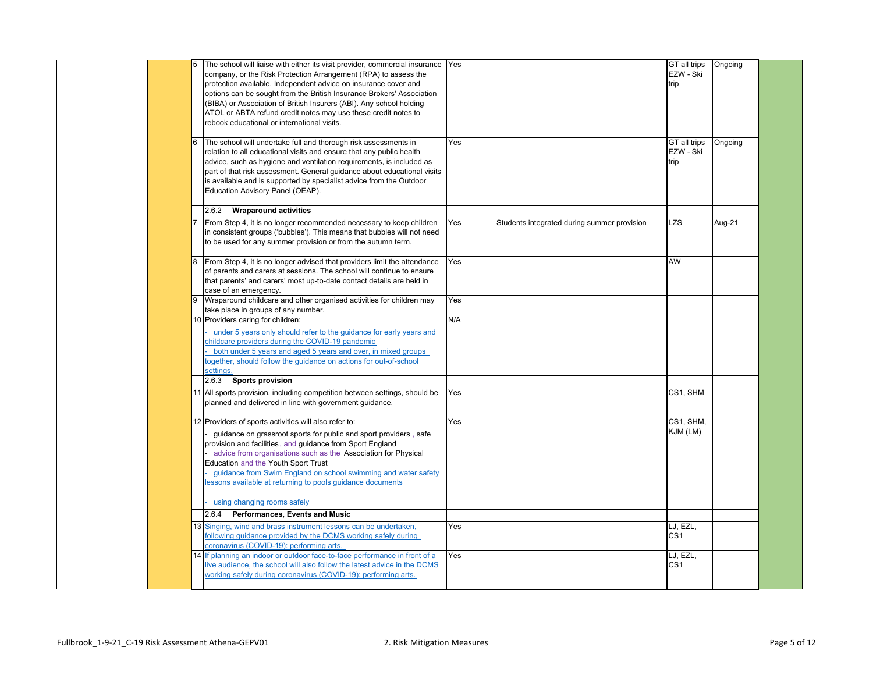|    | company, or the Risk Protection Arrangement (RPA) to assess the<br>protection available. Independent advice on insurance cover and<br>options can be sought from the British Insurance Brokers' Association<br>(BIBA) or Association of British Insurers (ABI). Any school holding<br>ATOL or ABTA refund credit notes may use these credit notes to<br>rebook educational or international visits.                              | Yes |                                             | GT all trips<br>EZW - Ski<br>trip | Ongoing |
|----|----------------------------------------------------------------------------------------------------------------------------------------------------------------------------------------------------------------------------------------------------------------------------------------------------------------------------------------------------------------------------------------------------------------------------------|-----|---------------------------------------------|-----------------------------------|---------|
| 6  | The school will undertake full and thorough risk assessments in<br>relation to all educational visits and ensure that any public health<br>advice, such as hygiene and ventilation requirements, is included as<br>part of that risk assessment. General guidance about educational visits<br>is available and is supported by specialist advice from the Outdoor<br>Education Advisory Panel (OEAP).                            | Yes |                                             | GT all trips<br>EZW - Ski<br>trip | Ongoing |
|    | 2.6.2<br><b>Wraparound activities</b>                                                                                                                                                                                                                                                                                                                                                                                            |     |                                             |                                   |         |
|    | From Step 4, it is no longer recommended necessary to keep children<br>in consistent groups ('bubbles'). This means that bubbles will not need<br>to be used for any summer provision or from the autumn term.                                                                                                                                                                                                                   | Yes | Students integrated during summer provision | <b>LZS</b>                        | Aug-21  |
| 8  | From Step 4, it is no longer advised that providers limit the attendance<br>of parents and carers at sessions. The school will continue to ensure<br>that parents' and carers' most up-to-date contact details are held in<br>case of an emergency.                                                                                                                                                                              | Yes |                                             | AW                                |         |
| 9  | Wraparound childcare and other organised activities for children may<br>take place in groups of any number.                                                                                                                                                                                                                                                                                                                      | Yes |                                             |                                   |         |
|    | 10 Providers caring for children:<br>under 5 years only should refer to the quidance for early years and<br>childcare providers during the COVID-19 pandemic<br>both under 5 years and aged 5 years and over, in mixed groups<br>ogether, should follow the guidance on actions for out-of-school<br>settings.                                                                                                                   | N/A |                                             |                                   |         |
|    | 2.6.3<br><b>Sports provision</b>                                                                                                                                                                                                                                                                                                                                                                                                 |     |                                             |                                   |         |
|    | 11 All sports provision, including competition between settings, should be<br>planned and delivered in line with government guidance.                                                                                                                                                                                                                                                                                            | Yes |                                             | CS1, SHM                          |         |
|    | 12 Providers of sports activities will also refer to:<br>quidance on grassroot sports for public and sport providers, safe<br>provision and facilities, and guidance from Sport England<br>advice from organisations such as the Association for Physical<br>Education and the Youth Sport Trust<br>quidance from Swim England on school swimming and water safety<br>lessons available at returning to pools guidance documents | Yes |                                             | CS1, SHM,<br>KJM (LM)             |         |
|    | using changing rooms safely                                                                                                                                                                                                                                                                                                                                                                                                      |     |                                             |                                   |         |
|    | 2.6.4<br>Performances, Events and Music                                                                                                                                                                                                                                                                                                                                                                                          |     |                                             |                                   |         |
| 13 | Singing, wind and brass instrument lessons can be undertaken,<br>following quidance provided by the DCMS working safely during<br>coronavirus (COVID-19): performing arts.                                                                                                                                                                                                                                                       | Yes |                                             | LJ, EZL,<br>CS <sub>1</sub>       |         |
|    | 14 If planning an indoor or outdoor face-to-face performance in front of a<br>live audience, the school will also follow the latest advice in the DCMS<br>working safely during coronavirus (COVID-19): performing arts.                                                                                                                                                                                                         | Yes |                                             | LJ, EZL,<br>CS <sub>1</sub>       |         |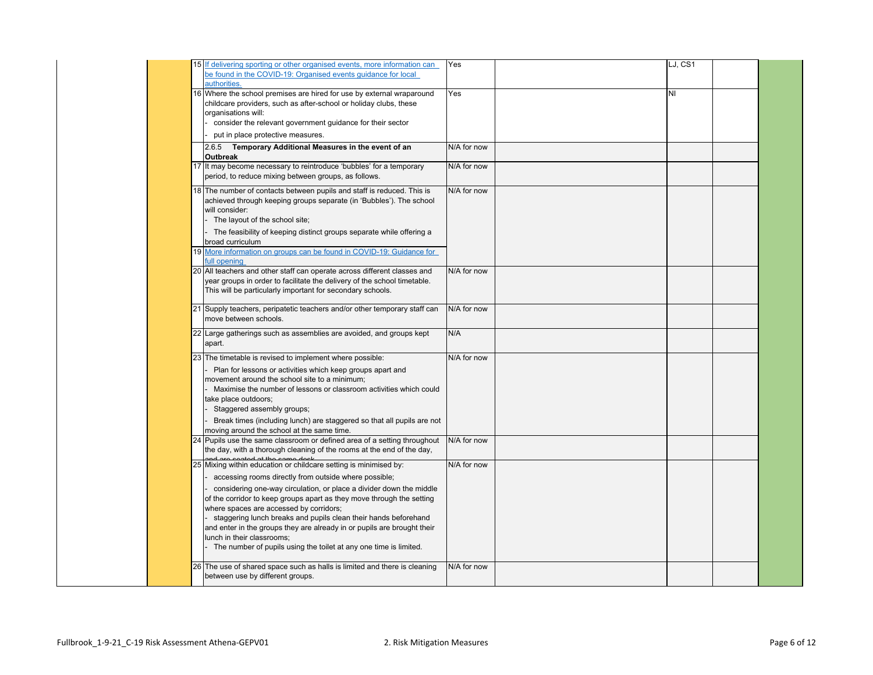| 15 If delivering sporting or other organised events, more information can<br>be found in the COVID-19: Organised events guidance for local                                                                                                                                                                                                                                                                                                                                                                                                                            | Yes         | LJ, CS1 |  |
|-----------------------------------------------------------------------------------------------------------------------------------------------------------------------------------------------------------------------------------------------------------------------------------------------------------------------------------------------------------------------------------------------------------------------------------------------------------------------------------------------------------------------------------------------------------------------|-------------|---------|--|
| authorities.<br>16 Where the school premises are hired for use by external wraparound<br>childcare providers, such as after-school or holiday clubs, these<br>organisations will:<br>consider the relevant government guidance for their sector<br>put in place protective measures.                                                                                                                                                                                                                                                                                  | Yes         | NI      |  |
| 2.6.5 Temporary Additional Measures in the event of an<br>Outbreak                                                                                                                                                                                                                                                                                                                                                                                                                                                                                                    | N/A for now |         |  |
| 17 It may become necessary to reintroduce 'bubbles' for a temporary<br>period, to reduce mixing between groups, as follows.                                                                                                                                                                                                                                                                                                                                                                                                                                           | N/A for now |         |  |
| 18 The number of contacts between pupils and staff is reduced. This is<br>achieved through keeping groups separate (in 'Bubbles'). The school<br>will consider:<br>The layout of the school site;<br>The feasibility of keeping distinct groups separate while offering a<br>broad curriculum<br>19 More information on groups can be found in COVID-19: Guidance for<br>full opening                                                                                                                                                                                 | N/A for now |         |  |
| 20 All teachers and other staff can operate across different classes and<br>year groups in order to facilitate the delivery of the school timetable.<br>This will be particularly important for secondary schools.                                                                                                                                                                                                                                                                                                                                                    | N/A for now |         |  |
| 21 Supply teachers, peripatetic teachers and/or other temporary staff can<br>move between schools.                                                                                                                                                                                                                                                                                                                                                                                                                                                                    | N/A for now |         |  |
| 22 Large gatherings such as assemblies are avoided, and groups kept<br>apart.                                                                                                                                                                                                                                                                                                                                                                                                                                                                                         | N/A         |         |  |
| 23 The timetable is revised to implement where possible:<br>Plan for lessons or activities which keep groups apart and<br>movement around the school site to a minimum;<br>Maximise the number of lessons or classroom activities which could<br>take place outdoors;<br>Staggered assembly groups;<br>Break times (including lunch) are staggered so that all pupils are not<br>moving around the school at the same time.                                                                                                                                           | N/A for now |         |  |
| 24 Pupils use the same classroom or defined area of a setting throughout<br>the day, with a thorough cleaning of the rooms at the end of the day,                                                                                                                                                                                                                                                                                                                                                                                                                     | N/A for now |         |  |
| 25 Mixing within education or childcare setting is minimised by:<br>accessing rooms directly from outside where possible;<br>considering one-way circulation, or place a divider down the middle<br>of the corridor to keep groups apart as they move through the setting<br>where spaces are accessed by corridors;<br>staggering lunch breaks and pupils clean their hands beforehand<br>and enter in the groups they are already in or pupils are brought their<br>lunch in their classrooms;<br>The number of pupils using the toilet at any one time is limited. | N/A for now |         |  |
| 26 The use of shared space such as halls is limited and there is cleaning<br>between use by different groups.                                                                                                                                                                                                                                                                                                                                                                                                                                                         | N/A for now |         |  |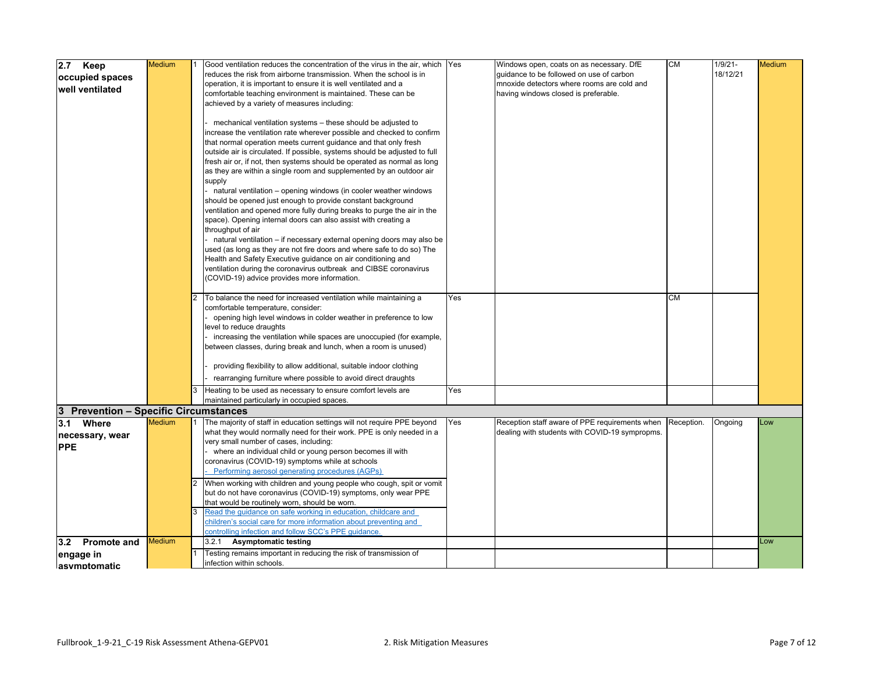| $2.7$ Keep                            | <b>Medium</b> | Good ventilation reduces the concentration of the virus in the air, which Yes |     | Windows open, coats on as necessary. DfE       | <b>CM</b>  | $1/9/21 -$ | <b>Medium</b> |
|---------------------------------------|---------------|-------------------------------------------------------------------------------|-----|------------------------------------------------|------------|------------|---------------|
|                                       |               | reduces the risk from airborne transmission. When the school is in            |     | quidance to be followed on use of carbon       |            | 18/12/21   |               |
| occupied spaces                       |               | operation, it is important to ensure it is well ventilated and a              |     | mnoxide detectors where rooms are cold and     |            |            |               |
| well ventilated                       |               | comfortable teaching environment is maintained. These can be                  |     | having windows closed is preferable.           |            |            |               |
|                                       |               | achieved by a variety of measures including:                                  |     |                                                |            |            |               |
|                                       |               |                                                                               |     |                                                |            |            |               |
|                                       |               | mechanical ventilation systems - these should be adjusted to                  |     |                                                |            |            |               |
|                                       |               | increase the ventilation rate wherever possible and checked to confirm        |     |                                                |            |            |               |
|                                       |               | that normal operation meets current guidance and that only fresh              |     |                                                |            |            |               |
|                                       |               | outside air is circulated. If possible, systems should be adjusted to full    |     |                                                |            |            |               |
|                                       |               | fresh air or, if not, then systems should be operated as normal as long       |     |                                                |            |            |               |
|                                       |               | as they are within a single room and supplemented by an outdoor air           |     |                                                |            |            |               |
|                                       |               | supply                                                                        |     |                                                |            |            |               |
|                                       |               | - natural ventilation - opening windows (in cooler weather windows            |     |                                                |            |            |               |
|                                       |               | should be opened just enough to provide constant background                   |     |                                                |            |            |               |
|                                       |               | ventilation and opened more fully during breaks to purge the air in the       |     |                                                |            |            |               |
|                                       |               | space). Opening internal doors can also assist with creating a                |     |                                                |            |            |               |
|                                       |               | throughput of air                                                             |     |                                                |            |            |               |
|                                       |               | natural ventilation - if necessary external opening doors may also be         |     |                                                |            |            |               |
|                                       |               | used (as long as they are not fire doors and where safe to do so) The         |     |                                                |            |            |               |
|                                       |               | Health and Safety Executive guidance on air conditioning and                  |     |                                                |            |            |               |
|                                       |               | ventilation during the coronavirus outbreak and CIBSE coronavirus             |     |                                                |            |            |               |
|                                       |               | (COVID-19) advice provides more information.                                  |     |                                                |            |            |               |
|                                       |               |                                                                               |     |                                                |            |            |               |
|                                       |               | To balance the need for increased ventilation while maintaining a             | Yes |                                                | <b>CM</b>  |            |               |
|                                       |               | comfortable temperature, consider:                                            |     |                                                |            |            |               |
|                                       |               | opening high level windows in colder weather in preference to low             |     |                                                |            |            |               |
|                                       |               | level to reduce draughts                                                      |     |                                                |            |            |               |
|                                       |               | - increasing the ventilation while spaces are unoccupied (for example,        |     |                                                |            |            |               |
|                                       |               | between classes, during break and lunch, when a room is unused)               |     |                                                |            |            |               |
|                                       |               |                                                                               |     |                                                |            |            |               |
|                                       |               | providing flexibility to allow additional, suitable indoor clothing           |     |                                                |            |            |               |
|                                       |               | rearranging furniture where possible to avoid direct draughts                 |     |                                                |            |            |               |
|                                       |               | Heating to be used as necessary to ensure comfort levels are                  | Yes |                                                |            |            |               |
|                                       |               | maintained particularly in occupied spaces.                                   |     |                                                |            |            |               |
| 3 Prevention - Specific Circumstances |               |                                                                               |     |                                                |            |            |               |
| 3.1 Where                             | <b>Medium</b> | The majority of staff in education settings will not require PPE beyond       | Yes | Reception staff aware of PPE requirements when | Reception. | Ongoing    | Low           |
| necessary, wear                       |               | what they would normally need for their work. PPE is only needed in a         |     | dealing with students with COVID-19 sympropms. |            |            |               |
| <b>PPE</b>                            |               | very small number of cases, including:                                        |     |                                                |            |            |               |
|                                       |               | where an individual child or young person becomes ill with                    |     |                                                |            |            |               |
|                                       |               | coronavirus (COVID-19) symptoms while at schools                              |     |                                                |            |            |               |
|                                       |               | Performing aerosol generating procedures (AGPs)                               |     |                                                |            |            |               |
|                                       |               | When working with children and young people who cough, spit or vomit          |     |                                                |            |            |               |
|                                       |               | but do not have coronavirus (COVID-19) symptoms, only wear PPE                |     |                                                |            |            |               |
|                                       |               | that would be routinely worn, should be worn.                                 |     |                                                |            |            |               |
|                                       |               | Read the guidance on safe working in education, childcare and                 |     |                                                |            |            |               |
|                                       |               | children's social care for more information about preventing and              |     |                                                |            |            |               |
|                                       | Medium        | controlling infection and follow SCC's PPE quidance                           |     |                                                |            |            |               |
| 3.2 Promote and                       |               | 3.2.1<br><b>Asymptomatic testing</b>                                          |     |                                                |            |            | Low           |
| engage in                             |               | Testing remains important in reducing the risk of transmission of             |     |                                                |            |            |               |
| lasymntomatic                         |               | infection within schools.                                                     |     |                                                |            |            |               |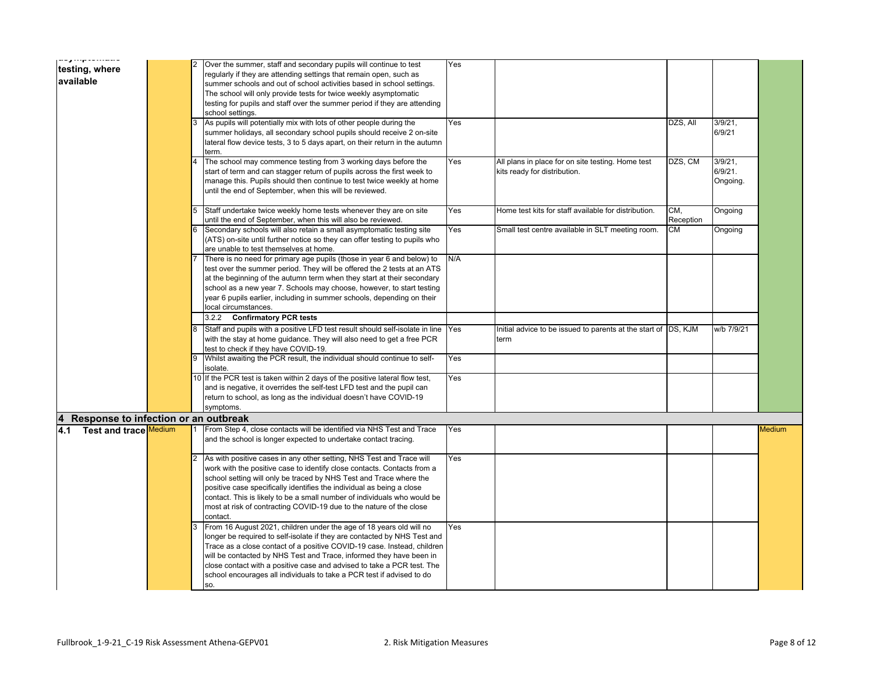|           | ww.g.com/www.www<br>testing, where   |  | Over the summer, staff and secondary pupils will continue to test            | Yes |                                                                |           |            |        |
|-----------|--------------------------------------|--|------------------------------------------------------------------------------|-----|----------------------------------------------------------------|-----------|------------|--------|
| available |                                      |  | regularly if they are attending settings that remain open, such as           |     |                                                                |           |            |        |
|           |                                      |  | summer schools and out of school activities based in school settings.        |     |                                                                |           |            |        |
|           |                                      |  | The school will only provide tests for twice weekly asymptomatic             |     |                                                                |           |            |        |
|           |                                      |  | testing for pupils and staff over the summer period if they are attending    |     |                                                                |           |            |        |
|           |                                      |  | school settings.                                                             |     |                                                                |           |            |        |
|           |                                      |  | As pupils will potentially mix with lots of other people during the          | Yes |                                                                | DZS, All  | $3/9/21$ , |        |
|           |                                      |  | summer holidays, all secondary school pupils should receive 2 on-site        |     |                                                                |           | 6/9/21     |        |
|           |                                      |  | lateral flow device tests, 3 to 5 days apart, on their return in the autumn  |     |                                                                |           |            |        |
|           |                                      |  | term.                                                                        |     |                                                                |           |            |        |
|           |                                      |  | The school may commence testing from 3 working days before the               | Yes | All plans in place for on site testing. Home test              | DZS, CM   | $3/9/21$ , |        |
|           |                                      |  | start of term and can stagger return of pupils across the first week to      |     | kits ready for distribution.                                   |           | 6/9/21.    |        |
|           |                                      |  | manage this. Pupils should then continue to test twice weekly at home        |     |                                                                |           | Ongoing.   |        |
|           |                                      |  | until the end of September, when this will be reviewed.                      |     |                                                                |           |            |        |
|           |                                      |  |                                                                              |     |                                                                |           |            |        |
|           |                                      |  | Staff undertake twice weekly home tests whenever they are on site            | Yes | Home test kits for staff available for distribution.           | CM,       | Ongoing    |        |
|           |                                      |  | until the end of September, when this will also be reviewed.                 |     |                                                                | Reception |            |        |
|           |                                      |  | Secondary schools will also retain a small asymptomatic testing site         | Yes | Small test centre available in SLT meeting room.               | <b>CM</b> | Ongoing    |        |
|           |                                      |  | (ATS) on-site until further notice so they can offer testing to pupils who   |     |                                                                |           |            |        |
|           |                                      |  | are unable to test themselves at home.                                       |     |                                                                |           |            |        |
|           |                                      |  | There is no need for primary age pupils (those in year 6 and below) to       | N/A |                                                                |           |            |        |
|           |                                      |  | test over the summer period. They will be offered the 2 tests at an ATS      |     |                                                                |           |            |        |
|           |                                      |  | at the beginning of the autumn term when they start at their secondary       |     |                                                                |           |            |        |
|           |                                      |  | school as a new year 7. Schools may choose, however, to start testing        |     |                                                                |           |            |        |
|           |                                      |  | year 6 pupils earlier, including in summer schools, depending on their       |     |                                                                |           |            |        |
|           |                                      |  | local circumstances.                                                         |     |                                                                |           |            |        |
|           |                                      |  | 3.2.2 Confirmatory PCR tests                                                 |     |                                                                |           |            |        |
|           |                                      |  | Staff and pupils with a positive LFD test result should self-isolate in line | Yes | Initial advice to be issued to parents at the start of DS, KJM |           | w/b 7/9/21 |        |
|           |                                      |  | with the stay at home guidance. They will also need to get a free PCR        |     | term                                                           |           |            |        |
|           |                                      |  | test to check if they have COVID-19.                                         |     |                                                                |           |            |        |
|           |                                      |  | Whilst awaiting the PCR result, the individual should continue to self-      | Yes |                                                                |           |            |        |
|           |                                      |  | isolate.                                                                     |     |                                                                |           |            |        |
|           |                                      |  | 10 If the PCR test is taken within 2 days of the positive lateral flow test, | Yes |                                                                |           |            |        |
|           |                                      |  | and is negative, it overrides the self-test LFD test and the pupil can       |     |                                                                |           |            |        |
|           |                                      |  | return to school, as long as the individual doesn't have COVID-19            |     |                                                                |           |            |        |
|           |                                      |  | symptoms.                                                                    |     |                                                                |           |            |        |
|           | Response to infection or an outbreak |  |                                                                              |     |                                                                |           |            |        |
| 4.1       | Test and trace Medium                |  | From Step 4, close contacts will be identified via NHS Test and Trace        | Yes |                                                                |           |            | Medium |
|           |                                      |  | and the school is longer expected to undertake contact tracing.              |     |                                                                |           |            |        |
|           |                                      |  |                                                                              |     |                                                                |           |            |        |
|           |                                      |  | As with positive cases in any other setting, NHS Test and Trace will         | Yes |                                                                |           |            |        |
|           |                                      |  | work with the positive case to identify close contacts. Contacts from a      |     |                                                                |           |            |        |
|           |                                      |  | school setting will only be traced by NHS Test and Trace where the           |     |                                                                |           |            |        |
|           |                                      |  | positive case specifically identifies the individual as being a close        |     |                                                                |           |            |        |
|           |                                      |  | contact. This is likely to be a small number of individuals who would be     |     |                                                                |           |            |        |
|           |                                      |  | most at risk of contracting COVID-19 due to the nature of the close          |     |                                                                |           |            |        |
|           |                                      |  | contact.                                                                     |     |                                                                |           |            |        |
|           |                                      |  | From 16 August 2021, children under the age of 18 years old will no          | Yes |                                                                |           |            |        |
|           |                                      |  | longer be required to self-isolate if they are contacted by NHS Test and     |     |                                                                |           |            |        |
|           |                                      |  | Trace as a close contact of a positive COVID-19 case. Instead, children      |     |                                                                |           |            |        |
|           |                                      |  | will be contacted by NHS Test and Trace, informed they have been in          |     |                                                                |           |            |        |
|           |                                      |  | close contact with a positive case and advised to take a PCR test. The       |     |                                                                |           |            |        |
|           |                                      |  | school encourages all individuals to take a PCR test if advised to do        |     |                                                                |           |            |        |
|           |                                      |  | SO.                                                                          |     |                                                                |           |            |        |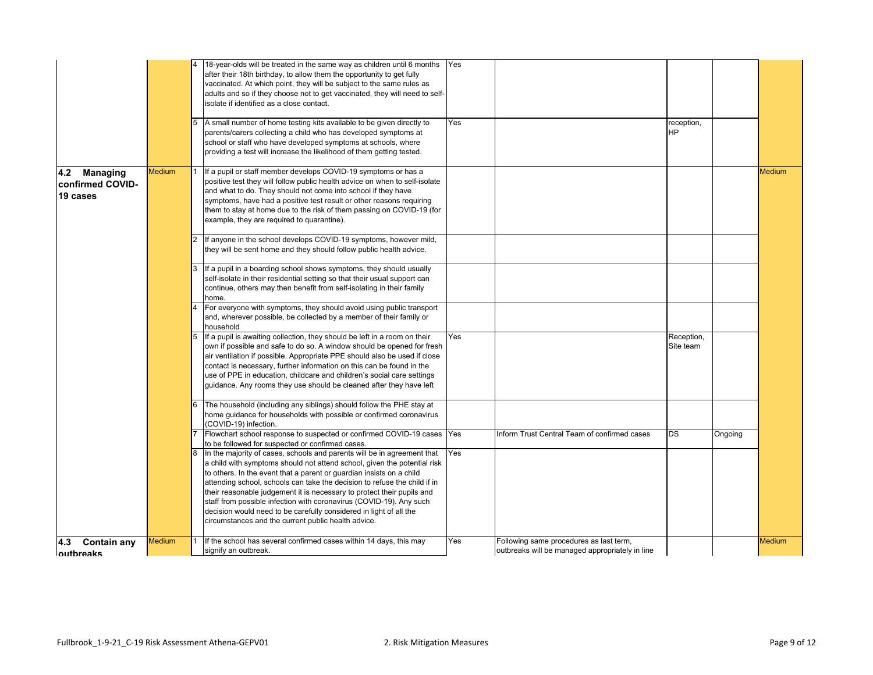|                                              |        | 18-year-olds will be treated in the same way as children until 6 months Yes<br>after their 18th birthday, to allow them the opportunity to get fully<br>vaccinated. At which point, they will be subject to the same rules as<br>adults and so if they choose not to get vaccinated, they will need to self-<br>isolate if identified as a close contact.<br>A small number of home testing kits available to be given directly to<br>parents/carers collecting a child who has developed symptoms at<br>school or staff who have developed symptoms at schools, where<br>providing a test will increase the likelihood of them getting tested. | Yes |                                                                                            | reception,<br>ΗP        |         |        |
|----------------------------------------------|--------|-------------------------------------------------------------------------------------------------------------------------------------------------------------------------------------------------------------------------------------------------------------------------------------------------------------------------------------------------------------------------------------------------------------------------------------------------------------------------------------------------------------------------------------------------------------------------------------------------------------------------------------------------|-----|--------------------------------------------------------------------------------------------|-------------------------|---------|--------|
| 4.2 Managing<br>confirmed COVID-<br>19 cases | Medium | If a pupil or staff member develops COVID-19 symptoms or has a<br>positive test they will follow public health advice on when to self-isolate<br>and what to do. They should not come into school if they have<br>symptoms, have had a positive test result or other reasons requiring<br>them to stay at home due to the risk of them passing on COVID-19 (for<br>example, they are required to quarantine).                                                                                                                                                                                                                                   |     |                                                                                            |                         |         | Medium |
|                                              |        | If anyone in the school develops COVID-19 symptoms, however mild,<br>they will be sent home and they should follow public health advice.                                                                                                                                                                                                                                                                                                                                                                                                                                                                                                        |     |                                                                                            |                         |         |        |
|                                              |        | If a pupil in a boarding school shows symptoms, they should usually<br>self-isolate in their residential setting so that their usual support can<br>continue, others may then benefit from self-isolating in their family<br>home.                                                                                                                                                                                                                                                                                                                                                                                                              |     |                                                                                            |                         |         |        |
|                                              |        | For everyone with symptoms, they should avoid using public transport<br>and, wherever possible, be collected by a member of their family or<br>household                                                                                                                                                                                                                                                                                                                                                                                                                                                                                        |     |                                                                                            |                         |         |        |
|                                              |        | If a pupil is awaiting collection, they should be left in a room on their<br>own if possible and safe to do so. A window should be opened for fresh<br>air ventilation if possible. Appropriate PPE should also be used if close<br>contact is necessary, further information on this can be found in the<br>use of PPE in education, childcare and children's social care settings<br>guidance. Any rooms they use should be cleaned after they have left                                                                                                                                                                                      | Yes |                                                                                            | Reception,<br>Site team |         |        |
|                                              |        | The household (including any siblings) should follow the PHE stay at<br>home guidance for households with possible or confirmed coronavirus<br>(COVID-19) infection.                                                                                                                                                                                                                                                                                                                                                                                                                                                                            |     |                                                                                            |                         |         |        |
|                                              |        | Flowchart school response to suspected or confirmed COVID-19 cases<br>to be followed for suspected or confirmed cases.                                                                                                                                                                                                                                                                                                                                                                                                                                                                                                                          | Yes | Inform Trust Central Team of confirmed cases                                               | <b>DS</b>               | Ongoing |        |
|                                              |        | In the majority of cases, schools and parents will be in agreement that<br>a child with symptoms should not attend school, given the potential risk<br>to others. In the event that a parent or guardian insists on a child<br>attending school, schools can take the decision to refuse the child if in<br>their reasonable judgement it is necessary to protect their pupils and<br>staff from possible infection with coronavirus (COVID-19). Any such<br>decision would need to be carefully considered in light of all the<br>circumstances and the current public health advice.                                                          | Yes |                                                                                            |                         |         |        |
| 4.3<br><b>Contain any</b><br>outbreaks       | Medium | If the school has several confirmed cases within 14 days, this may<br>signify an outbreak.                                                                                                                                                                                                                                                                                                                                                                                                                                                                                                                                                      | Yes | Following same procedures as last term,<br>outbreaks will be managed appropriately in line |                         |         | Medium |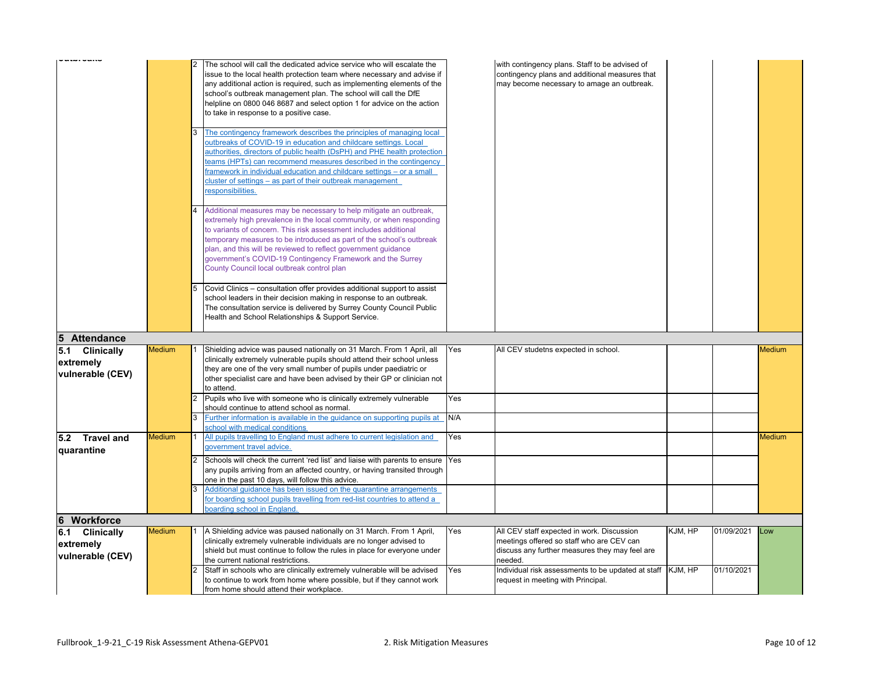|                                                 |               | The school will call the dedicated advice service who will escalate the<br>issue to the local health protection team where necessary and advise if<br>any additional action is required, such as implementing elements of the<br>school's outbreak management plan. The school will call the DfE<br>helpline on 0800 046 8687 and select option 1 for advice on the action<br>to take in response to a positive case.<br>The contingency framework describes the principles of managing local<br>outbreaks of COVID-19 in education and childcare settings. Local<br>authorities, directors of public health (DsPH) and PHE health protection<br>eams (HPTs) can recommend measures described in the contingency<br>ramework in individual education and childcare settings - or a small<br>cluster of settings - as part of their outbreak management<br>esponsibilities.<br>Additional measures may be necessary to help mitigate an outbreak,<br>extremely high prevalence in the local community, or when responding<br>to variants of concern. This risk assessment includes additional<br>temporary measures to be introduced as part of the school's outbreak<br>plan, and this will be reviewed to reflect government guidance<br>government's COVID-19 Contingency Framework and the Surrey<br>County Council local outbreak control plan<br>Covid Clinics - consultation offer provides additional support to assist |            | with contingency plans. Staff to be advised of<br>contingency plans and additional measures that<br>may become necessary to amage an outbreak.       |         |            |               |
|-------------------------------------------------|---------------|--------------------------------------------------------------------------------------------------------------------------------------------------------------------------------------------------------------------------------------------------------------------------------------------------------------------------------------------------------------------------------------------------------------------------------------------------------------------------------------------------------------------------------------------------------------------------------------------------------------------------------------------------------------------------------------------------------------------------------------------------------------------------------------------------------------------------------------------------------------------------------------------------------------------------------------------------------------------------------------------------------------------------------------------------------------------------------------------------------------------------------------------------------------------------------------------------------------------------------------------------------------------------------------------------------------------------------------------------------------------------------------------------------------------------------|------------|------------------------------------------------------------------------------------------------------------------------------------------------------|---------|------------|---------------|
|                                                 |               | school leaders in their decision making in response to an outbreak.<br>The consultation service is delivered by Surrey County Council Public<br>Health and School Relationships & Support Service.                                                                                                                                                                                                                                                                                                                                                                                                                                                                                                                                                                                                                                                                                                                                                                                                                                                                                                                                                                                                                                                                                                                                                                                                                             |            |                                                                                                                                                      |         |            |               |
| 5 Attendance                                    |               |                                                                                                                                                                                                                                                                                                                                                                                                                                                                                                                                                                                                                                                                                                                                                                                                                                                                                                                                                                                                                                                                                                                                                                                                                                                                                                                                                                                                                                |            |                                                                                                                                                      |         |            |               |
| 5.1 Clinically<br>extremely<br>vulnerable (CEV) | <b>Medium</b> | Shielding advice was paused nationally on 31 March. From 1 April, all<br>clinically extremely vulnerable pupils should attend their school unless<br>they are one of the very small number of pupils under paediatric or<br>other specialist care and have been advised by their GP or clinician not<br>to attend.                                                                                                                                                                                                                                                                                                                                                                                                                                                                                                                                                                                                                                                                                                                                                                                                                                                                                                                                                                                                                                                                                                             | Yes        | All CEV studetns expected in school.                                                                                                                 |         |            | <b>Medium</b> |
|                                                 |               | Pupils who live with someone who is clinically extremely vulnerable<br>should continue to attend school as normal.<br>Further information is available in the quidance on supporting pupils at                                                                                                                                                                                                                                                                                                                                                                                                                                                                                                                                                                                                                                                                                                                                                                                                                                                                                                                                                                                                                                                                                                                                                                                                                                 | Yes<br>N/A |                                                                                                                                                      |         |            |               |
|                                                 |               | school with medical conditions                                                                                                                                                                                                                                                                                                                                                                                                                                                                                                                                                                                                                                                                                                                                                                                                                                                                                                                                                                                                                                                                                                                                                                                                                                                                                                                                                                                                 |            |                                                                                                                                                      |         |            |               |
| 5.2 Travel and<br>quarantine                    | <b>Medium</b> | All pupils travelling to England must adhere to current legislation and<br>government travel advice.                                                                                                                                                                                                                                                                                                                                                                                                                                                                                                                                                                                                                                                                                                                                                                                                                                                                                                                                                                                                                                                                                                                                                                                                                                                                                                                           | Yes        |                                                                                                                                                      |         |            | <b>Medium</b> |
|                                                 |               | Schools will check the current 'red list' and liaise with parents to ensure Yes<br>2<br>any pupils arriving from an affected country, or having transited through<br>one in the past 10 days, will follow this advice.<br>Additional guidance has been issued on the quarantine arrangements<br>for boarding school pupils travelling from red-list countries to attend a<br>boarding school in England                                                                                                                                                                                                                                                                                                                                                                                                                                                                                                                                                                                                                                                                                                                                                                                                                                                                                                                                                                                                                        |            |                                                                                                                                                      |         |            |               |
| 6 Workforce                                     |               |                                                                                                                                                                                                                                                                                                                                                                                                                                                                                                                                                                                                                                                                                                                                                                                                                                                                                                                                                                                                                                                                                                                                                                                                                                                                                                                                                                                                                                |            |                                                                                                                                                      |         |            |               |
| 6.1 Clinically<br>extremely<br>vulnerable (CEV) | <b>Medium</b> | A Shielding advice was paused nationally on 31 March. From 1 April,<br>clinically extremely vulnerable individuals are no longer advised to<br>shield but must continue to follow the rules in place for everyone under<br>the current national restrictions.                                                                                                                                                                                                                                                                                                                                                                                                                                                                                                                                                                                                                                                                                                                                                                                                                                                                                                                                                                                                                                                                                                                                                                  | Yes        | All CEV staff expected in work. Discussion<br>meetings offered so staff who are CEV can<br>discuss any further measures they may feel are<br>needed. | KJM, HP | 01/09/2021 | Low           |
|                                                 |               | Staff in schools who are clinically extremely vulnerable will be advised<br>to continue to work from home where possible, but if they cannot work<br>from home should attend their workplace.                                                                                                                                                                                                                                                                                                                                                                                                                                                                                                                                                                                                                                                                                                                                                                                                                                                                                                                                                                                                                                                                                                                                                                                                                                  | Yes        | Individual risk assessments to be updated at staff<br>request in meeting with Principal.                                                             | KJM, HP | 01/10/2021 |               |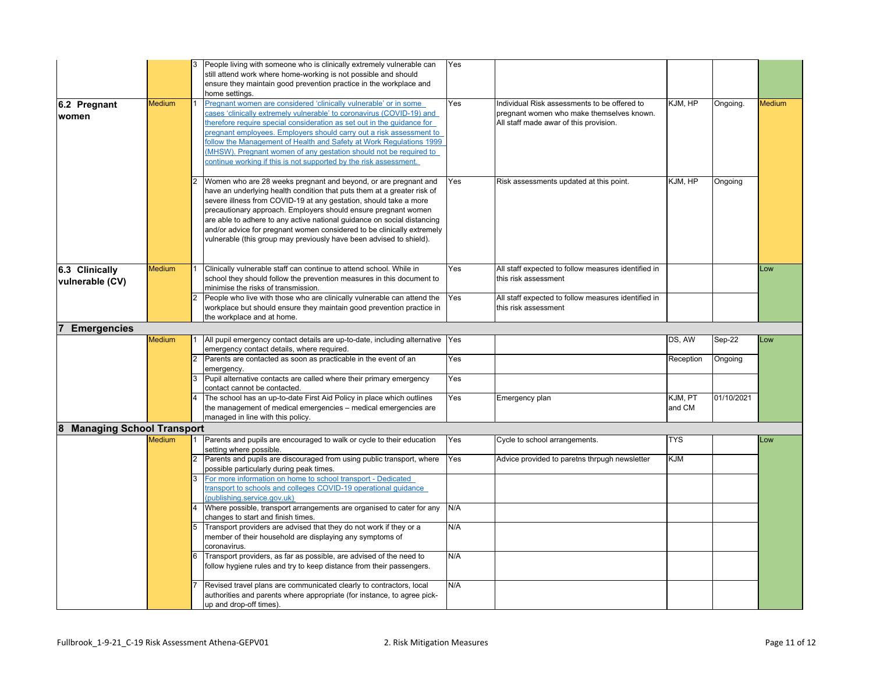|                                       |               |                | People living with someone who is clinically extremely vulnerable can<br>still attend work where home-working is not possible and should<br>ensure they maintain good prevention practice in the workplace and<br>home settings.                                                                                                                                                                                                                                                                              | Yes        |                                                                                                                                                            |            |            |        |
|---------------------------------------|---------------|----------------|---------------------------------------------------------------------------------------------------------------------------------------------------------------------------------------------------------------------------------------------------------------------------------------------------------------------------------------------------------------------------------------------------------------------------------------------------------------------------------------------------------------|------------|------------------------------------------------------------------------------------------------------------------------------------------------------------|------------|------------|--------|
| 6.2 Pregnant<br>women                 | <b>Medium</b> |                | Pregnant women are considered 'clinically vulnerable' or in some<br>cases 'clinically extremely vulnerable' to coronavirus (COVID-19) and<br>therefore require special consideration as set out in the quidance for<br>pregnant employees. Employers should carry out a risk assessment to<br>follow the Management of Health and Safety at Work Regulations 1999<br>(MHSW). Pregnant women of any gestation should not be reguired to<br>continue working if this is not supported by the risk assessment.   | Yes        | Individual Risk assessments to be offered to<br>pregnant women who make themselves known.<br>All staff made awar of this provision.                        | KJM, HP    | Ongoing.   | Medium |
|                                       |               |                | Women who are 28 weeks pregnant and beyond, or are pregnant and<br>have an underlying health condition that puts them at a greater risk of<br>severe illness from COVID-19 at any gestation, should take a more<br>precautionary approach. Employers should ensure pregnant women<br>are able to adhere to any active national quidance on social distancing<br>and/or advice for pregnant women considered to be clinically extremely<br>vulnerable (this group may previously have been advised to shield). | Yes        | Risk assessments updated at this point.                                                                                                                    | KJM, HP    | Ongoing    |        |
| 6.3 Clinically<br>vulnerable (CV)     | Medium        |                | Clinically vulnerable staff can continue to attend school. While in<br>school they should follow the prevention measures in this document to<br>minimise the risks of transmission.<br>People who live with those who are clinically vulnerable can attend the<br>workplace but should ensure they maintain good prevention practice in                                                                                                                                                                       | Yes<br>Yes | All staff expected to follow measures identified in<br>this risk assessment<br>All staff expected to follow measures identified in<br>this risk assessment |            |            | Low    |
|                                       |               |                | the workplace and at home.                                                                                                                                                                                                                                                                                                                                                                                                                                                                                    |            |                                                                                                                                                            |            |            |        |
| <b>Emergencies</b>                    | <b>Medium</b> |                | All pupil emergency contact details are up-to-date, including alternative Yes                                                                                                                                                                                                                                                                                                                                                                                                                                 |            |                                                                                                                                                            | DS, AW     | Sep-22     | Low    |
|                                       |               |                | emergency contact details, where required.                                                                                                                                                                                                                                                                                                                                                                                                                                                                    |            |                                                                                                                                                            |            |            |        |
|                                       |               | $\overline{2}$ | Parents are contacted as soon as practicable in the event of an                                                                                                                                                                                                                                                                                                                                                                                                                                               | Yes        |                                                                                                                                                            | Reception  | Ongoing    |        |
|                                       |               |                | emergency.                                                                                                                                                                                                                                                                                                                                                                                                                                                                                                    |            |                                                                                                                                                            |            |            |        |
|                                       |               |                | Pupil alternative contacts are called where their primary emergency<br>contact cannot be contacted.                                                                                                                                                                                                                                                                                                                                                                                                           | Yes        |                                                                                                                                                            |            |            |        |
|                                       |               |                | The school has an up-to-date First Aid Policy in place which outlines                                                                                                                                                                                                                                                                                                                                                                                                                                         | Yes        | Emergency plan                                                                                                                                             | KJM, PT    | 01/10/2021 |        |
|                                       |               |                | the management of medical emergencies - medical emergencies are                                                                                                                                                                                                                                                                                                                                                                                                                                               |            |                                                                                                                                                            | and CM     |            |        |
|                                       |               |                | managed in line with this policy.                                                                                                                                                                                                                                                                                                                                                                                                                                                                             |            |                                                                                                                                                            |            |            |        |
| <b>Managing School Transport</b><br>8 | <b>Medium</b> |                | Parents and pupils are encouraged to walk or cycle to their education                                                                                                                                                                                                                                                                                                                                                                                                                                         | Yes        |                                                                                                                                                            | <b>TYS</b> |            |        |
|                                       |               |                | setting where possible.                                                                                                                                                                                                                                                                                                                                                                                                                                                                                       |            | Cycle to school arrangements.                                                                                                                              |            |            | Low    |
|                                       |               |                | Parents and pupils are discouraged from using public transport, where<br>possible particularly during peak times.                                                                                                                                                                                                                                                                                                                                                                                             | Yes        | Advice provided to paretns thrpugh newsletter                                                                                                              | KJM        |            |        |
|                                       |               |                | For more information on home to school transport - Dedicated<br>transport to schools and colleges COVID-19 operational quidance                                                                                                                                                                                                                                                                                                                                                                               |            |                                                                                                                                                            |            |            |        |
|                                       |               |                | (publishing.service.gov.uk)                                                                                                                                                                                                                                                                                                                                                                                                                                                                                   |            |                                                                                                                                                            |            |            |        |
|                                       |               |                | Where possible, transport arrangements are organised to cater for any                                                                                                                                                                                                                                                                                                                                                                                                                                         | N/A        |                                                                                                                                                            |            |            |        |
|                                       |               |                | changes to start and finish times.<br>Transport providers are advised that they do not work if they or a                                                                                                                                                                                                                                                                                                                                                                                                      | N/A        |                                                                                                                                                            |            |            |        |
|                                       |               |                | member of their household are displaying any symptoms of                                                                                                                                                                                                                                                                                                                                                                                                                                                      |            |                                                                                                                                                            |            |            |        |
|                                       |               |                | coronavirus.<br>Transport providers, as far as possible, are advised of the need to                                                                                                                                                                                                                                                                                                                                                                                                                           | N/A        |                                                                                                                                                            |            |            |        |
|                                       |               |                | follow hygiene rules and try to keep distance from their passengers.                                                                                                                                                                                                                                                                                                                                                                                                                                          |            |                                                                                                                                                            |            |            |        |
|                                       |               |                | Revised travel plans are communicated clearly to contractors, local<br>authorities and parents where appropriate (for instance, to agree pick-<br>up and drop-off times).                                                                                                                                                                                                                                                                                                                                     | N/A        |                                                                                                                                                            |            |            |        |